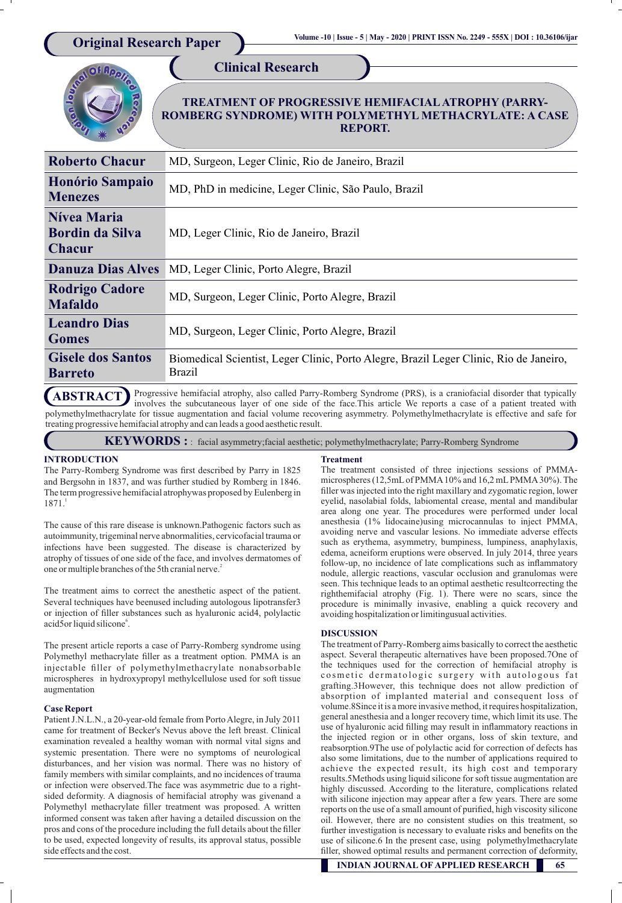

Progressive hemifacial atrophy, also called Parry-Romberg Syndrome (PRS), is a craniofacial disorder that typically involves the subcutaneous layer of one side of the face.This article We reports a case of a patient treated with polymethylmethacrylate for tissue augmentation and facial volume recovering asymmetry. Polymethylmethacrylate is effective and safe for treating progressive hemifacial atrophy and can leads a good aesthetic result. **ABSTRACT**

**KEYWORDS :** : facial asymmetry;facial aesthetic; polymethylmethacrylate; Parry-Romberg Syndrome

# **INTRODUCTION**

The Parry-Romberg Syndrome was first described by Parry in 1825 and Bergsohn in 1837, and was further studied by Romberg in 1846. The term progressive hemifacial atrophywas proposed by Eulenberg in 1 1871.

The cause of this rare disease is unknown.Pathogenic factors such as autoimmunity, trigeminal nerve abnormalities, cervicofacial trauma or infections have been suggested. The disease is characterized by atrophy of tissues of one side of the face, and involves dermatomes of one or multiple branches of the 5th cranial nerve.<sup>2</sup>

The treatment aims to correct the anesthetic aspect of the patient. Several techniques have beenused including autologous lipotransfer3 or injection of filler substances such as hyaluronic acid4, polylactic acid5or liquid silicone°.

The present article reports a case of Parry-Romberg syndrome using Polymethyl methacrylate filler as a treatment option. PMMA is an injectable filler of polymethylmethacrylate nonabsorbable microspheres in hydroxypropyl methylcellulose used for soft tissue augmentation

## **Case Report**

Patient J.N.L.N., a 20-year-old female from Porto Alegre, in July 2011 came for treatment of Becker's Nevus above the left breast. Clinical examination revealed a healthy woman with normal vital signs and systemic presentation. There were no symptoms of neurological disturbances, and her vision was normal. There was no history of family members with similar complaints, and no incidences of trauma or infection were observed.The face was asymmetric due to a rightsided deformity. A diagnosis of hemifacial atrophy was givenand a Polymethyl methacrylate filler treatment was proposed. A written informed consent was taken after having a detailed discussion on the pros and cons of the procedure including the full details about the filler to be used, expected longevity of results, its approval status, possible side effects and the cost.

## **Treatment**

The treatment consisted of three injections sessions of PMMAmicrospheres (12,5mLof PMMA10% and 16,2 mLPMMA30%). The filler was injected into the right maxillary and zygomatic region, lower eyelid, nasolabial folds, labiomental crease, mental and mandibular area along one year. The procedures were performed under local anesthesia (1% lidocaine)using microcannulas to inject PMMA, avoiding nerve and vascular lesions. No immediate adverse effects such as erythema, asymmetry, bumpiness, lumpiness, anaphylaxis, edema, acneiform eruptions were observed. In july 2014, three years follow-up, no incidence of late complications such as inflammatory nodule, allergic reactions, vascular occlusion and granulomas were seen. This technique leads to an optimal aesthetic resultcorrecting the righthemifacial atrophy (Fig. 1). There were no scars, since the procedure is minimally invasive, enabling a quick recovery and avoiding hospitalization or limitingusual activities.

## **DISCUSSION**

The treatment of Parry-Romberg aims basically to correct the aesthetic aspect. Several therapeutic alternatives have been proposed.7One of the techniques used for the correction of hemifacial atrophy is cosmetic dermatologic surgery with autologous fat grafting.3However, this technique does not allow prediction of absorption of implanted material and consequent loss of volume.8Since it is a more invasive method, it requires hospitalization, general anesthesia and a longer recovery time, which limit its use. The use of hyaluronic acid filling may result in inflammatory reactions in the injected region or in other organs, loss of skin texture, and reabsorption.9The use of polylactic acid for correction of defects has also some limitations, due to the number of applications required to achieve the expected result, its high cost and temporary results.5Methods using liquid silicone for soft tissue augmentation are highly discussed. According to the literature, complications related with silicone injection may appear after a few years. There are some reports on the use of a small amount of purified, high viscosity silicone oil. However, there are no consistent studies on this treatment, so further investigation is necessary to evaluate risks and benefits on the use of silicone.6 In the present case, using polymethylmethacrylate filler, showed optimal results and permanent correction of deformity,